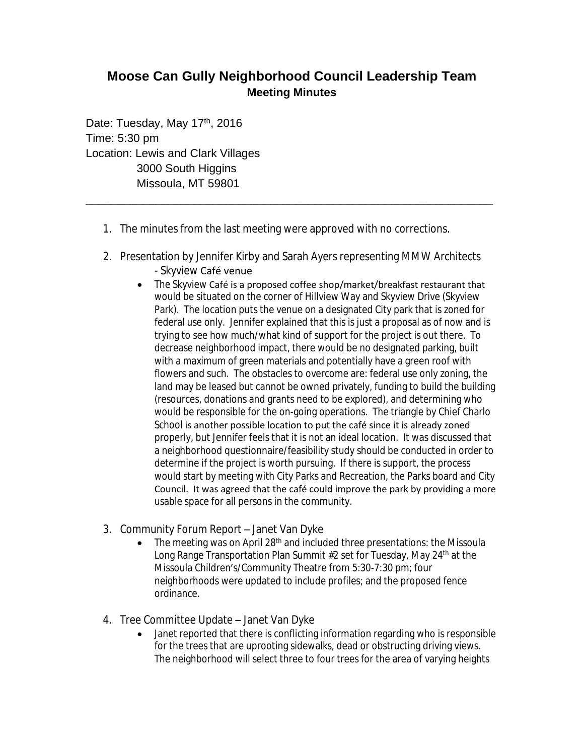## **Moose Can Gully Neighborhood Council Leadership Team Meeting Minutes**

Date: Tuesday, May 17<sup>th</sup>, 2016 Time: 5:30 pm Location: Lewis and Clark Villages 3000 South Higgins Missoula, MT 59801

- 1. The minutes from the last meeting were approved with no corrections.
- 2. Presentation by Jennifer Kirby and Sarah Ayers representing MMW Architects - Skyview Café venue

\_\_\_\_\_\_\_\_\_\_\_\_\_\_\_\_\_\_\_\_\_\_\_\_\_\_\_\_\_\_\_\_\_\_\_\_\_\_\_\_\_\_\_\_\_\_\_\_\_\_\_\_\_\_\_\_\_\_\_\_\_\_\_\_

- The Skyview Café is a proposed coffee shop/market/breakfast restaurant that would be situated on the corner of Hillview Way and Skyview Drive (Skyview Park). The location puts the venue on a designated City park that is zoned for federal use only. Jennifer explained that this is just a proposal as of now and is trying to see how much/what kind of support for the project is out there. To decrease neighborhood impact, there would be no designated parking, built with a maximum of green materials and potentially have a green roof with flowers and such. The obstacles to overcome are: federal use only zoning, the land may be leased but cannot be owned privately, funding to build the building (resources, donations and grants need to be explored), and determining who would be responsible for the on-going operations. The triangle by Chief Charlo School is another possible location to put the café since it is already zoned properly, but Jennifer feels that it is not an ideal location. It was discussed that a neighborhood questionnaire/feasibility study should be conducted in order to determine if the project is worth pursuing. If there is support, the process would start by meeting with City Parks and Recreation, the Parks board and City Council. It was agreed that the café could improve the park by providing a more usable space for all persons in the community.
- 3. Community Forum Report Janet Van Dyke
	- The meeting was on April 28<sup>th</sup> and included three presentations: the Missoula Long Range Transportation Plan Summit #2 set for Tuesday, May 24<sup>th</sup> at the Missoula Children's/Community Theatre from 5:30-7:30 pm; four neighborhoods were updated to include profiles; and the proposed fence ordinance.
- 4. Tree Committee Update Janet Van Dyke
	- Janet reported that there is conflicting information regarding who is responsible for the trees that are uprooting sidewalks, dead or obstructing driving views. The neighborhood will select three to four trees for the area of varying heights